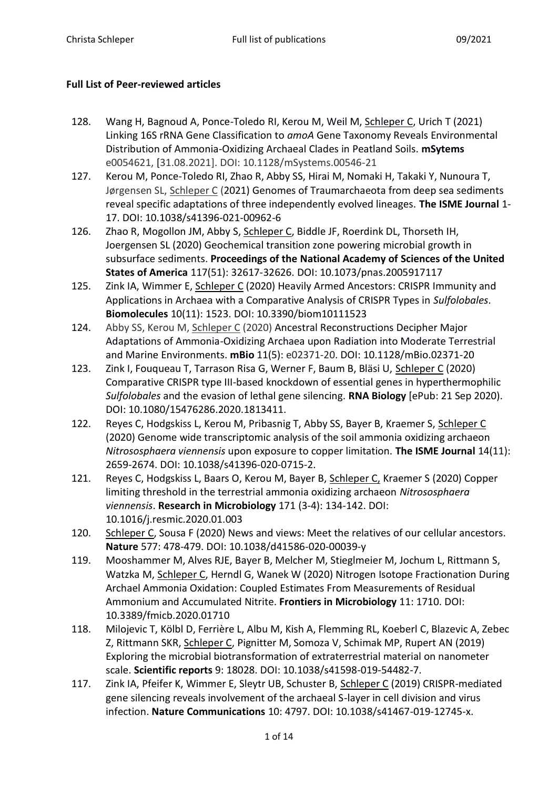## **Full List of Peer-reviewed articles**

- 128. Wang H, Bagnoud A, Ponce-Toledo RI, Kerou M, Weil M, Schleper C, Urich T (2021) Linking 16S rRNA Gene Classification to *amoA* Gene Taxonomy Reveals Environmental Distribution of Ammonia-Oxidizing Archaeal Clades in Peatland Soils. **mSytems** e0054621, [31.08.2021]. DOI: 10.1128/mSystems.00546-21
- 127. Kerou M, Ponce-Toledo RI, Zhao R, Abby SS, Hirai M, Nomaki H, Takaki Y, Nunoura T, Jørgensen SL, Schleper C (2021) Genomes of Traumarchaeota from deep sea sediments reveal specific adaptations of three independently evolved lineages. **The ISME Journal** 1- 17. DOI: 10.1038/s41396-021-00962-6
- 126. Zhao R, Mogollon JM, Abby S, Schleper C, Biddle JF, Roerdink DL, Thorseth IH, Joergensen SL (2020) Geochemical transition zone powering microbial growth in subsurface sediments. **Proceedings of the National Academy of Sciences of the United States of America** 117(51): 32617-32626. DOI: 10.1073/pnas.2005917117
- 125. Zink IA, Wimmer E, Schleper C (2020) Heavily Armed Ancestors: CRISPR Immunity and Applications in Archaea with a Comparative Analysis of CRISPR Types in *Sulfolobales*. **Biomolecules** 10(11): 1523. DOI: 10.3390/biom10111523
- 124. Abby SS, Kerou M, Schleper C (2020) Ancestral Reconstructions Decipher Major Adaptations of Ammonia-Oxidizing Archaea upon Radiation into Moderate Terrestrial and Marine Environments. **mBio** 11(5): e02371-20. DOI: 10.1128/mBio.02371-20
- 123. Zink I, Fouqueau T, Tarrason Risa G, Werner F, Baum B, Bläsi U, Schleper C (2020) Comparative CRISPR type III-based knockdown of essential genes in hyperthermophilic *Sulfolobales* and the evasion of lethal gene silencing. **RNA Biology** [ePub: 21 Sep 2020). DOI: 10.1080/15476286.2020.1813411.
- 122. Reyes C, Hodgskiss L, Kerou M, Pribasnig T, Abby SS, Bayer B, Kraemer S, Schleper C (2020) Genome wide transcriptomic analysis of the soil ammonia oxidizing archaeon *Nitrososphaera viennensis* upon exposure to copper limitation. **The ISME Journal** 14(11): 2659-2674. DOI: 10.1038/s41396-020-0715-2.
- 121. Reyes C, Hodgskiss L, Baars O, Kerou M, Bayer B, Schleper C, Kraemer S (2020) Copper limiting threshold in the terrestrial ammonia oxidizing archaeon *Nitrososphaera viennensis*. **Research in Microbiology** 171 (3-4): 134-142. DOI: 10.1016/j.resmic.2020.01.003
- 120. Schleper C, Sousa F (2020) News and views: Meet the relatives of our cellular ancestors. **Nature** 577: 478-479. DOI: 10.1038/d41586-020-00039-y
- 119. Mooshammer M, Alves RJE, Bayer B, Melcher M, Stieglmeier M, Jochum L, Rittmann S, Watzka M, Schleper C, Herndl G, Wanek W (2020) Nitrogen Isotope Fractionation During Archael Ammonia Oxidation: Coupled Estimates From Measurements of Residual Ammonium and Accumulated Nitrite. **Frontiers in Microbiology** 11: 1710. DOI: 10.3389/fmicb.2020.01710
- 118. Milojevic T, Kölbl D, Ferrière L, Albu M, Kish A, Flemming RL, Koeberl C, Blazevic A, Zebec Z, Rittmann SKR, Schleper C, Pignitter M, Somoza V, Schimak MP, Rupert AN (2019) Exploring the microbial biotransformation of extraterrestrial material on nanometer scale. **Scientific reports** 9: 18028. DOI: 10.1038/s41598-019-54482-7.
- 117. Zink IA, Pfeifer K, Wimmer E, Sleytr UB, Schuster B, Schleper C (2019) CRISPR-mediated gene silencing reveals involvement of the archaeal S-layer in cell division and virus infection. **Nature Communications** 10: 4797. DOI: 10.1038/s41467-019-12745-x.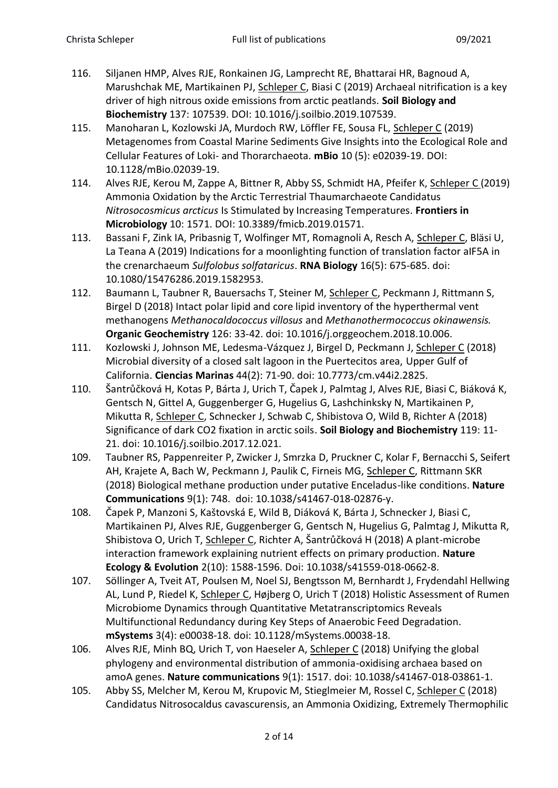- 116. Siljanen HMP, Alves RJE, Ronkainen JG, Lamprecht RE, Bhattarai HR, Bagnoud A, Marushchak ME, Martikainen PJ, Schleper C, Biasi C (2019) Archaeal nitrification is a key driver of high nitrous oxide emissions from arctic peatlands. **Soil Biology and Biochemistry** 137: 107539. DOI: 10.1016/j.soilbio.2019.107539.
- 115. Manoharan L, Kozlowski JA, Murdoch RW, Löffler FE, Sousa FL, Schleper C (2019) Metagenomes from Coastal Marine Sediments Give Insights into the Ecological Role and Cellular Features of Loki- and Thorarchaeota. **mBio** 10 (5): e02039-19. DOI: 10.1128/mBio.02039-19.
- 114. Alves RJE, Kerou M, Zappe A, Bittner R, Abby SS, Schmidt HA, Pfeifer K, Schleper C (2019) Ammonia Oxidation by the Arctic Terrestrial Thaumarchaeote Candidatus *Nitrosocosmicus arcticus* Is Stimulated by Increasing Temperatures. **Frontiers in Microbiology** 10: 1571. DOI: 10.3389/fmicb.2019.01571.
- 113. Bassani F, Zink IA, Pribasnig T, Wolfinger MT, Romagnoli A, Resch A, Schleper C, Bläsi U, La Teana A (2019) Indications for a moonlighting function of translation factor aIF5A in the crenarchaeum *Sulfolobus solfataricus*. **RNA Biology** 16(5): 675-685. doi: 10.1080/15476286.2019.1582953.
- 112. Baumann L, Taubner R, Bauersachs T, Steiner M, Schleper C, Peckmann J, Rittmann S, Birgel D (2018) Intact polar lipid and core lipid inventory of the hyperthermal vent methanogens *Methanocaldococcus villosus* and *Methanothermococcus okinawensis.* **Organic Geochemistry** 126: 33-42. doi: 10.1016/j.orggeochem.2018.10.006.
- 111. Kozlowski J, Johnson ME, Ledesma-Vázquez J, Birgel D, Peckmann J, Schleper C (2018) Microbial diversity of a closed salt lagoon in the Puertecitos area, Upper Gulf of California. **Ciencias Marinas** 44(2): 71-90. doi: 10.7773/cm.v44i2.2825.
- 110. Šantrůčková H, Kotas P, Bárta J, Urich T, Čapek J, Palmtag J, Alves RJE, Biasi C, Biáková K, Gentsch N, Gittel A, Guggenberger G, Hugelius G, Lashchinksky N, Martikainen P, Mikutta R, Schleper C, Schnecker J, Schwab C, Shibistova O, Wild B, Richter A (2018) Significance of dark CO2 fixation in arctic soils. **Soil Biology and Biochemistry** 119: 11- 21. doi: 10.1016/j.soilbio.2017.12.021.
- 109. Taubner RS, Pappenreiter P, Zwicker J, Smrzka D, Pruckner C, Kolar F, Bernacchi S, Seifert AH, Krajete A, Bach W, Peckmann J, Paulik C, Firneis MG, Schleper C, Rittmann SKR (2018) Biological methane production under putative Enceladus-like conditions. **Nature Communications** 9(1): 748. doi: 10.1038/s41467-018-02876-y.
- 108. Čapek P, Manzoni S, Kaštovská E, Wild B, Diáková K, Bárta J, Schnecker J, Biasi C, Martikainen PJ, Alves RJE, Guggenberger G, Gentsch N, Hugelius G, Palmtag J, Mikutta R, Shibistova O, Urich T, Schleper C, Richter A, Šantrůčková H (2018) A plant-microbe interaction framework explaining nutrient effects on primary production. **Nature Ecology & Evolution** 2(10): 1588-1596. Doi: 10.1038/s41559-018-0662-8.
- 107. Söllinger A, Tveit AT, Poulsen M, Noel SJ, Bengtsson M, Bernhardt J, Frydendahl Hellwing AL, Lund P, Riedel K, Schleper C, Højberg O, Urich T (2018) Holistic Assessment of Rumen Microbiome Dynamics through Quantitative Metatranscriptomics Reveals Multifunctional Redundancy during Key Steps of Anaerobic Feed Degradation. **mSystems** 3(4): e00038-18. doi: 10.1128/mSystems.00038-18.
- 106. Alves RJE, Minh BQ, Urich T, von Haeseler A, Schleper C (2018) Unifying the global phylogeny and environmental distribution of ammonia-oxidising archaea based on amoA genes. **Nature communications** 9(1): 1517. doi: 10.1038/s41467-018-03861-1.
- 105. Abby SS, Melcher M, Kerou M, Krupovic M, Stieglmeier M, Rossel C, Schleper C (2018) Candidatus Nitrosocaldus cavascurensis, an Ammonia Oxidizing, Extremely Thermophilic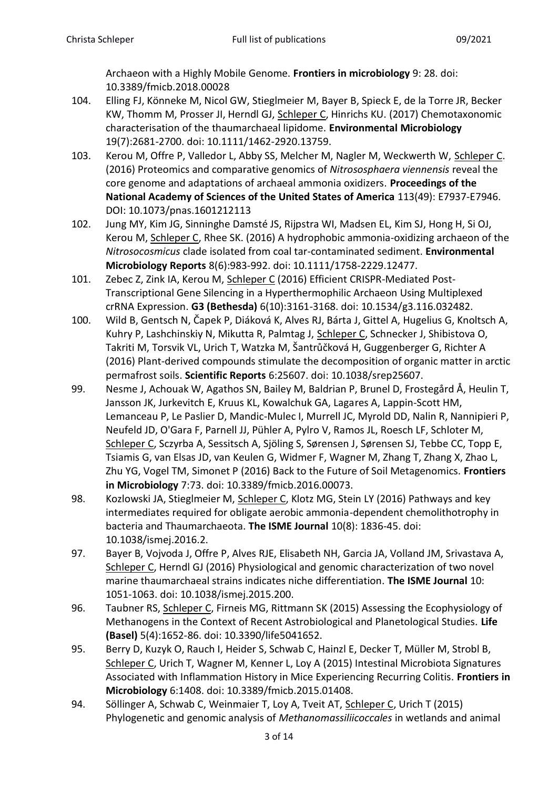Archaeon with a Highly Mobile Genome. **Frontiers in microbiology** 9: 28. doi: 10.3389/fmicb.2018.00028

- 104. Elling FJ, Könneke M, Nicol GW, Stieglmeier M, Bayer B, Spieck E, de la Torre JR, Becker KW, Thomm M, Prosser JI, Herndl GJ, Schleper C, Hinrichs KU. (2017) Chemotaxonomic characterisation of the thaumarchaeal lipidome. **Environmental Microbiology** 19(7):2681-2700. doi: 10.1111/1462-2920.13759.
- 103. Kerou M, Offre P, Valledor L, Abby SS, Melcher M, Nagler M, Weckwerth W, Schleper C. (2016) Proteomics and comparative genomics of *Nitrososphaera viennensis* reveal the core genome and adaptations of archaeal ammonia oxidizers. **Proceedings of the National Academy of Sciences of the United States of America** 113(49): E7937-E7946. DOI: 10.1073/pnas.1601212113
- 102. Jung MY, Kim JG, Sinninghe Damsté JS, Rijpstra WI, Madsen EL, Kim SJ, Hong H, Si OJ, Kerou M, Schleper C, Rhee SK. (2016) A hydrophobic ammonia-oxidizing archaeon of the *Nitrosocosmicus* clade isolated from coal tar-contaminated sediment. **Environmental Microbiology Reports** 8(6):983-992. doi: 10.1111/1758-2229.12477.
- 101. Zebec Z, Zink IA, Kerou M, Schleper C (2016) Efficient CRISPR-Mediated Post-Transcriptional Gene Silencing in a Hyperthermophilic Archaeon Using Multiplexed crRNA Expression. **G3 (Bethesda)** 6(10):3161-3168. doi: 10.1534/g3.116.032482.
- 100. Wild B, Gentsch N, Čapek P, Diáková K, Alves RJ, Bárta J, Gittel A, Hugelius G, Knoltsch A, Kuhry P, Lashchinskiy N, Mikutta R, Palmtag J, Schleper C, Schnecker J, Shibistova O, Takriti M, Torsvik VL, Urich T, Watzka M, Šantrůčková H, Guggenberger G, Richter A (2016) Plant-derived compounds stimulate the decomposition of organic matter in arctic permafrost soils. **Scientific Reports** 6:25607. doi: 10.1038/srep25607.
- 99. Nesme J, Achouak W, Agathos SN, Bailey M, Baldrian P, Brunel D, Frostegård Å, Heulin T, Jansson JK, Jurkevitch E, Kruus KL, Kowalchuk GA, Lagares A, Lappin-Scott HM, Lemanceau P, Le Paslier D, Mandic-Mulec I, Murrell JC, Myrold DD, Nalin R, Nannipieri P, Neufeld JD, O'Gara F, Parnell JJ, Pühler A, Pylro V, Ramos JL, Roesch LF, Schloter M, Schleper C, Sczyrba A, Sessitsch A, Sjöling S, Sørensen J, Sørensen SJ, Tebbe CC, Topp E, Tsiamis G, van Elsas JD, van Keulen G, Widmer F, Wagner M, Zhang T, Zhang X, Zhao L, Zhu YG, Vogel TM, Simonet P (2016) Back to the Future of Soil Metagenomics. **Frontiers in Microbiology** 7:73. doi: 10.3389/fmicb.2016.00073.
- 98. Kozlowski JA, Stieglmeier M, Schleper C, Klotz MG, Stein LY (2016) Pathways and key intermediates required for obligate aerobic ammonia-dependent chemolithotrophy in bacteria and Thaumarchaeota. **The ISME Journal** 10(8): 1836-45. doi: 10.1038/ismej.2016.2.
- 97. Bayer B, Vojvoda J, Offre P, Alves RJE, Elisabeth NH, Garcia JA, Volland JM, Srivastava A, Schleper C, Herndl GJ (2016) Physiological and genomic characterization of two novel marine thaumarchaeal strains indicates niche differentiation. **The ISME Journal** 10: 1051-1063. doi: 10.1038/ismej.2015.200.
- 96. Taubner RS, Schleper C, Firneis MG, Rittmann SK (2015) Assessing the Ecophysiology of Methanogens in the Context of Recent Astrobiological and Planetological Studies. **Life (Basel)** 5(4):1652-86. doi: 10.3390/life5041652.
- 95. Berry D, Kuzyk O, Rauch I, Heider S, Schwab C, Hainzl E, Decker T, Müller M, Strobl B, Schleper C, Urich T, Wagner M, Kenner L, Loy A (2015) Intestinal Microbiota Signatures Associated with Inflammation History in Mice Experiencing Recurring Colitis. **Frontiers in Microbiology** 6:1408. doi: 10.3389/fmicb.2015.01408.
- 94. Söllinger A, Schwab C, Weinmaier T, Loy A, Tveit AT, Schleper C, Urich T (2015) Phylogenetic and genomic analysis of *Methanomassiliicoccales* in wetlands and animal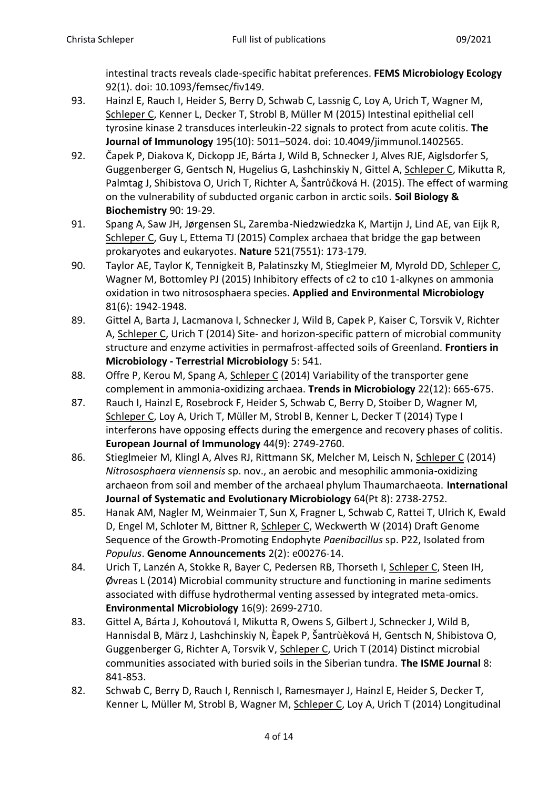intestinal tracts reveals clade-specific habitat preferences. **FEMS Microbiology Ecology** 92(1). doi: 10.1093/femsec/fiv149.

- 93. Hainzl E, Rauch I, Heider S, Berry D, Schwab C, Lassnig C, Loy A, Urich T, Wagner M, Schleper C, Kenner L, Decker T, Strobl B, Müller M (2015) Intestinal epithelial cell tyrosine kinase 2 transduces interleukin-22 signals to protect from acute colitis. **The Journal of Immunology** 195(10): 5011–5024. doi: 10.4049/jimmunol.1402565.
- 92. Čapek P, Diakova K, Dickopp JE, Bárta J, Wild B, Schnecker J, Alves RJE, Aiglsdorfer S, Guggenberger G, Gentsch N, Hugelius G, Lashchinskiy N, Gittel A, Schleper C, Mikutta R, Palmtag J, Shibistova O, Urich T, Richter A, Šantrůčková H. (2015). The effect of warming on the vulnerability of subducted organic carbon in arctic soils. **Soil Biology & Biochemistry** 90: 19-29.
- 91. Spang A, Saw JH, Jørgensen SL, Zaremba-Niedzwiedzka K, Martijn J, Lind AE, van Eijk R, Schleper C, Guy L, Ettema TJ (2015) Complex archaea that bridge the gap between prokaryotes and eukaryotes. **Nature** 521(7551): 173-179.
- 90. Taylor AE, Taylor K, Tennigkeit B, Palatinszky M, Stieglmeier M, Myrold DD, Schleper C, Wagner M, Bottomley PJ (2015) Inhibitory effects of c2 to c10 1-alkynes on ammonia oxidation in two nitrososphaera species. **Applied and Environmental Microbiology** 81(6): 1942-1948.
- 89. Gittel A, Barta J, Lacmanova I, Schnecker J, Wild B, Capek P, Kaiser C, Torsvik V, Richter A, Schleper C, Urich T (2014) Site- and horizon-specific pattern of microbial community structure and enzyme activities in permafrost-affected soils of Greenland. **Frontiers in Microbiology - Terrestrial Microbiology** 5: 541.
- 88. Offre P, Kerou M, Spang A, Schleper C (2014) Variability of the transporter gene complement in ammonia-oxidizing archaea. **Trends in Microbiology** 22(12): 665-675.
- 87. Rauch I, Hainzl E, Rosebrock F, Heider S, Schwab C, Berry D, Stoiber D, Wagner M, Schleper C, Loy A, Urich T, Müller M, Strobl B, Kenner L, Decker T (2014) Type I interferons have opposing effects during the emergence and recovery phases of colitis. **European Journal of Immunology** 44(9): 2749-2760.
- 86. Stieglmeier M, Klingl A, Alves RJ, Rittmann SK, Melcher M, Leisch N, Schleper C (2014) *Nitrososphaera viennensis* sp. nov., an aerobic and mesophilic ammonia-oxidizing archaeon from soil and member of the archaeal phylum Thaumarchaeota. **International Journal of Systematic and Evolutionary Microbiology** 64(Pt 8): 2738-2752.
- 85. Hanak AM, Nagler M, Weinmaier T, Sun X, Fragner L, Schwab C, Rattei T, Ulrich K, Ewald D, Engel M, Schloter M, Bittner R, Schleper C, Weckwerth W (2014) Draft Genome Sequence of the Growth-Promoting Endophyte *Paenibacillus* sp. P22, Isolated from *Populus*. **Genome Announcements** 2(2): e00276-14.
- 84. Urich T, Lanzén A, Stokke R, Bayer C, Pedersen RB, Thorseth I, Schleper C, Steen IH, Øvreas L (2014) Microbial community structure and functioning in marine sediments associated with diffuse hydrothermal venting assessed by integrated meta-omics. **Environmental Microbiology** 16(9): 2699-2710.
- 83. Gittel A, Bárta J, Kohoutová I, Mikutta R, Owens S, Gilbert J, Schnecker J, Wild B, Hannisdal B, März J, Lashchinskiy N, Èapek P, Šantrùèková H, Gentsch N, Shibistova O, Guggenberger G, Richter A, Torsvik V, Schleper C, Urich T (2014) Distinct microbial communities associated with buried soils in the Siberian tundra. **The ISME Journal** 8: 841-853.
- 82. Schwab C, Berry D, Rauch I, Rennisch I, Ramesmayer J, Hainzl E, Heider S, Decker T, Kenner L, Müller M, Strobl B, Wagner M, Schleper C, Loy A, Urich T (2014) Longitudinal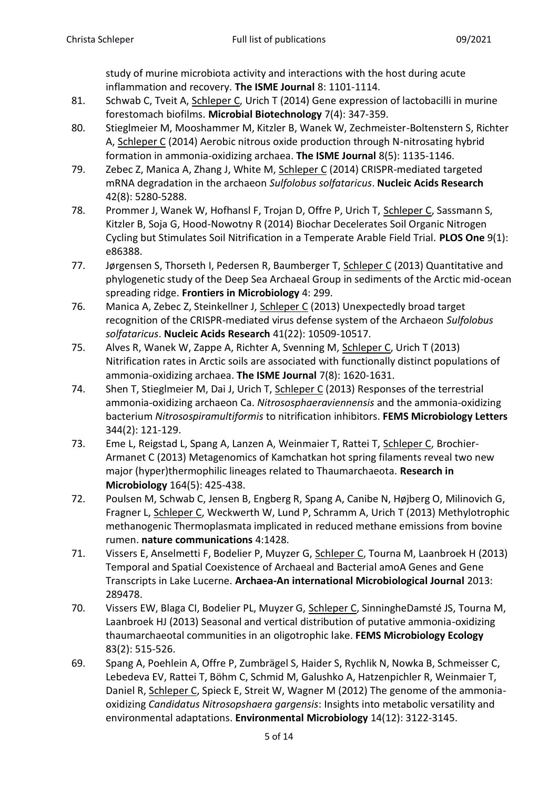study of murine microbiota activity and interactions with the host during acute inflammation and recovery. **The ISME Journal** 8: 1101-1114.

- 81. Schwab C, Tveit A, Schleper C, Urich T (2014) Gene expression of lactobacilli in murine forestomach biofilms. **Microbial Biotechnology** 7(4): 347-359.
- 80. Stieglmeier M, Mooshammer M, Kitzler B, Wanek W, Zechmeister-Boltenstern S, Richter A, Schleper C (2014) Aerobic nitrous oxide production through N-nitrosating hybrid formation in ammonia-oxidizing archaea. **The ISME Journal** 8(5): 1135-1146.
- 79. Zebec Z, Manica A, Zhang J, White M, Schleper C (2014) CRISPR-mediated targeted mRNA degradation in the archaeon *Sulfolobus solfataricus*. **Nucleic Acids Research** 42(8): 5280-5288.
- 78. Prommer J, Wanek W, Hofhansl F, Trojan D, Offre P, Urich T, Schleper C, Sassmann S, Kitzler B, Soja G, Hood-Nowotny R (2014) Biochar Decelerates Soil Organic Nitrogen Cycling but Stimulates Soil Nitrification in a Temperate Arable Field Trial. **PLOS One** 9(1): e86388.
- 77. Jørgensen S, Thorseth I, Pedersen R, Baumberger T, Schleper C (2013) Quantitative and phylogenetic study of the Deep Sea Archaeal Group in sediments of the Arctic mid-ocean spreading ridge. **Frontiers in Microbiology** 4: 299.
- 76. Manica A, Zebec Z, Steinkellner J, Schleper C (2013) Unexpectedly broad target recognition of the CRISPR-mediated virus defense system of the Archaeon *Sulfolobus solfataricus*. **Nucleic Acids Research** 41(22): 10509-10517.
- 75. Alves R, Wanek W, Zappe A, Richter A, Svenning M, Schleper C, Urich T (2013) Nitrification rates in Arctic soils are associated with functionally distinct populations of ammonia-oxidizing archaea. **The ISME Journal** 7(8): 1620-1631.
- 74. Shen T, Stieglmeier M, Dai J, Urich T, Schleper C (2013) Responses of the terrestrial ammonia-oxidizing archaeon Ca. *Nitrososphaeraviennensis* and the ammonia-oxidizing bacterium *Nitrosospiramultiformis* to nitrification inhibitors. **FEMS Microbiology Letters** 344(2): 121-129.
- 73. Eme L, Reigstad L, Spang A, Lanzen A, Weinmaier T, Rattei T, Schleper C, Brochier-Armanet C (2013) Metagenomics of Kamchatkan hot spring filaments reveal two new major (hyper)thermophilic lineages related to Thaumarchaeota. **Research in Microbiology** 164(5): 425-438.
- 72. Poulsen M, Schwab C, Jensen B, Engberg R, Spang A, Canibe N, Højberg O, Milinovich G, Fragner L, Schleper C, Weckwerth W, Lund P, Schramm A, Urich T (2013) Methylotrophic methanogenic Thermoplasmata implicated in reduced methane emissions from bovine rumen. **nature communications** 4:1428.
- 71. Vissers E, Anselmetti F, Bodelier P, Muyzer G, Schleper C, Tourna M, Laanbroek H (2013) Temporal and Spatial Coexistence of Archaeal and Bacterial amoA Genes and Gene Transcripts in Lake Lucerne. **Archaea-An international Microbiological Journal** 2013: 289478.
- 70. Vissers EW, Blaga CI, Bodelier PL, Muyzer G, Schleper C, SinningheDamsté JS, Tourna M, Laanbroek HJ (2013) Seasonal and vertical distribution of putative ammonia-oxidizing thaumarchaeotal communities in an oligotrophic lake. **FEMS Microbiology Ecology** 83(2): 515-526.
- 69. Spang A, Poehlein A, Offre P, Zumbrägel S, Haider S, Rychlik N, Nowka B, Schmeisser C, Lebedeva EV, Rattei T, Böhm C, Schmid M, Galushko A, Hatzenpichler R, Weinmaier T, Daniel R, Schleper C, Spieck E, Streit W, Wagner M (2012) The genome of the ammoniaoxidizing *Candidatus Nitrosopshaera gargensis*: Insights into metabolic versatility and environmental adaptations. **Environmental Microbiology** 14(12): 3122-3145.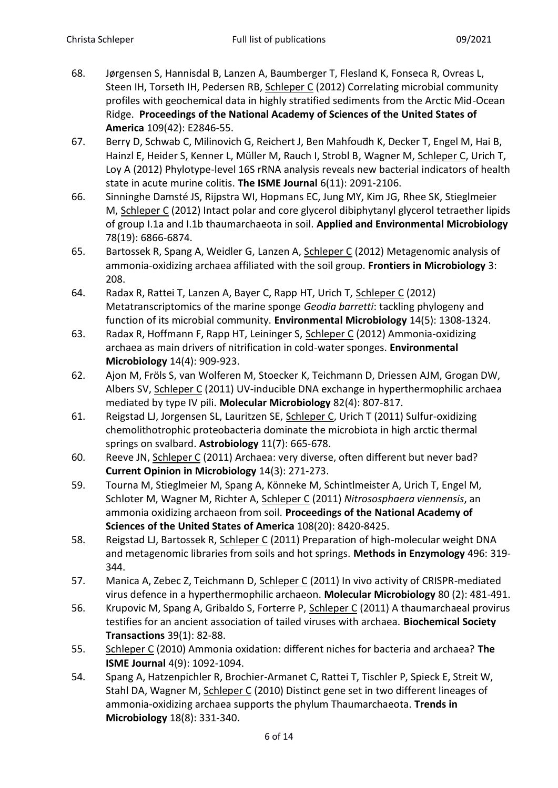- 68. Jørgensen S, Hannisdal B, Lanzen A, Baumberger T, Flesland K, Fonseca R, Ovreas L, Steen IH, Torseth IH, Pedersen RB, Schleper C (2012) Correlating microbial community profiles with geochemical data in highly stratified sediments from the Arctic Mid-Ocean Ridge. **Proceedings of the National Academy of Sciences of the United States of America** 109(42): E2846-55.
- 67. Berry D, Schwab C, Milinovich G, Reichert J, Ben Mahfoudh K, Decker T, Engel M, Hai B, Hainzl E, Heider S, Kenner L, Müller M, Rauch I, Strobl B, Wagner M, Schleper C, Urich T, Loy A (2012) Phylotype-level 16S rRNA analysis reveals new bacterial indicators of health state in acute murine colitis. **The ISME Journal** 6(11): 2091-2106.
- 66. Sinninghe Damsté JS, Rijpstra WI, Hopmans EC, Jung MY, Kim JG, Rhee SK, Stieglmeier M, Schleper C (2012) Intact polar and core glycerol dibiphytanyl glycerol tetraether lipids of group I.1a and I.1b thaumarchaeota in soil. **Applied and Environmental Microbiology**  78(19): 6866-6874.
- 65. Bartossek R, Spang A, Weidler G, Lanzen A, Schleper C (2012) Metagenomic analysis of ammonia-oxidizing archaea affiliated with the soil group. **Frontiers in Microbiology** 3: 208.
- 64. Radax R, Rattei T, Lanzen A, Bayer C, Rapp HT, Urich T, Schleper C (2012) Metatranscriptomics of the marine sponge *Geodia barretti*: tackling phylogeny and function of its microbial community. **Environmental Microbiology** 14(5): 1308-1324.
- 63. Radax R, Hoffmann F, Rapp HT, Leininger S, Schleper C (2012) Ammonia-oxidizing archaea as main drivers of nitrification in cold-water sponges. **Environmental Microbiology** 14(4): 909-923.
- 62. Ajon M, Fröls S, van Wolferen M, Stoecker K, Teichmann D, Driessen AJM, Grogan DW, Albers SV, Schleper C (2011) UV-inducible DNA exchange in hyperthermophilic archaea mediated by type IV pili. **Molecular Microbiology** 82(4): 807-817.
- 61. Reigstad LJ, Jorgensen SL, Lauritzen SE, Schleper C, Urich T (2011) Sulfur-oxidizing chemolithotrophic proteobacteria dominate the microbiota in high arctic thermal springs on svalbard. **Astrobiology** 11(7): 665-678.
- 60. Reeve JN, Schleper C (2011) Archaea: very diverse, often different but never bad? **Current Opinion in Microbiology** 14(3): 271-273.
- 59. Tourna M, Stieglmeier M, Spang A, Könneke M, Schintlmeister A, Urich T, Engel M, Schloter M, Wagner M, Richter A, Schleper C (2011) *Nitrososphaera viennensis*, an ammonia oxidizing archaeon from soil. **Proceedings of the National Academy of Sciences of the United States of America** 108(20): 8420-8425.
- 58. Reigstad LJ, Bartossek R, Schleper C (2011) Preparation of high-molecular weight DNA and metagenomic libraries from soils and hot springs. **Methods in Enzymology** 496: 319- 344.
- 57. Manica A, Zebec Z, Teichmann D, Schleper C (2011) In vivo activity of CRISPR-mediated virus defence in a hyperthermophilic archaeon. **Molecular Microbiology** 80 (2): 481-491.
- 56. Krupovic M, Spang A, Gribaldo S, Forterre P, Schleper C (2011) A thaumarchaeal provirus testifies for an ancient association of tailed viruses with archaea. **Biochemical Society Transactions** 39(1): 82-88.
- 55. Schleper C (2010) Ammonia oxidation: different niches for bacteria and archaea? **The ISME Journal** 4(9): 1092-1094.
- 54. Spang A, Hatzenpichler R, Brochier-Armanet C, Rattei T, Tischler P, Spieck E, Streit W, Stahl DA, Wagner M, Schleper C (2010) Distinct gene set in two different lineages of ammonia-oxidizing archaea supports the phylum Thaumarchaeota. **Trends in Microbiology** 18(8): 331-340.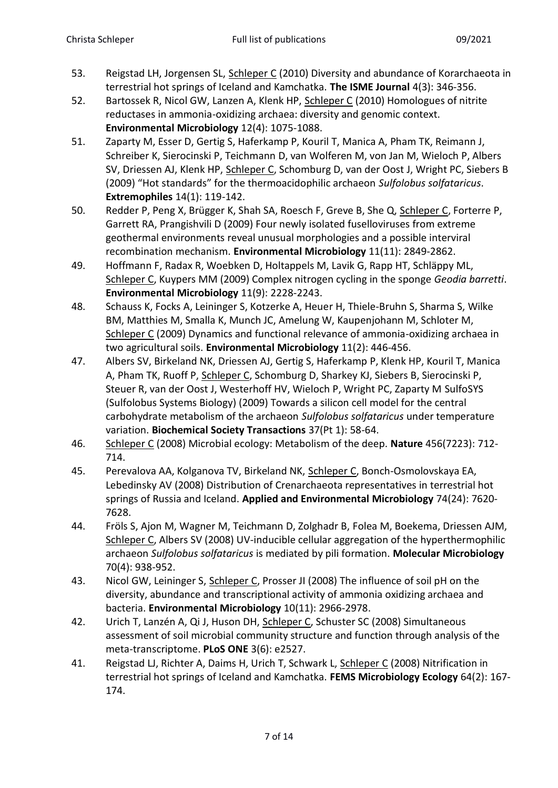- 53. Reigstad LH, Jorgensen SL, Schleper C (2010) Diversity and abundance of Korarchaeota in terrestrial hot springs of Iceland and Kamchatka. **The ISME Journal** 4(3): 346-356.
- 52. Bartossek R, Nicol GW, Lanzen A, Klenk HP, Schleper C (2010) Homologues of nitrite reductases in ammonia-oxidizing archaea: diversity and genomic context. **Environmental Microbiology** 12(4): 1075-1088.
- 51. Zaparty M, Esser D, Gertig S, Haferkamp P, Kouril T, Manica A, Pham TK, Reimann J, Schreiber K, Sierocinski P, Teichmann D, van Wolferen M, von Jan M, Wieloch P, Albers SV, Driessen AJ, Klenk HP, Schleper C, Schomburg D, van der Oost J, Wright PC, Siebers B (2009) "Hot standards" for the thermoacidophilic archaeon *Sulfolobus solfataricus*. **Extremophiles** 14(1): 119-142.
- 50. Redder P, Peng X, Brügger K, Shah SA, Roesch F, Greve B, She Q, Schleper C, Forterre P, Garrett RA, Prangishvili D (2009) Four newly isolated fuselloviruses from extreme geothermal environments reveal unusual morphologies and a possible interviral recombination mechanism. **Environmental Microbiology** 11(11): 2849-2862.
- 49. Hoffmann F, Radax R, Woebken D, Holtappels M, Lavik G, Rapp HT, Schläppy ML, Schleper C, Kuypers MM (2009) Complex nitrogen cycling in the sponge *Geodia barretti*. **Environmental Microbiology** 11(9): 2228-2243.
- 48. Schauss K, Focks A, Leininger S, Kotzerke A, Heuer H, Thiele-Bruhn S, Sharma S, Wilke BM, Matthies M, Smalla K, Munch JC, Amelung W, Kaupenjohann M, Schloter M, Schleper C (2009) Dynamics and functional relevance of ammonia-oxidizing archaea in two agricultural soils. **Environmental Microbiology** 11(2): 446-456.
- 47. Albers SV, Birkeland NK, Driessen AJ, Gertig S, Haferkamp P, Klenk HP, Kouril T, Manica A, Pham TK, Ruoff P, Schleper C, Schomburg D, Sharkey KJ, Siebers B, Sierocinski P, Steuer R, van der Oost J, Westerhoff HV, Wieloch P, Wright PC, Zaparty M SulfoSYS (Sulfolobus Systems Biology) (2009) Towards a silicon cell model for the central carbohydrate metabolism of the archaeon *Sulfolobus solfataricus* under temperature variation. **Biochemical Society Transactions** 37(Pt 1): 58-64.
- 46. Schleper C (2008) Microbial ecology: Metabolism of the deep. **Nature** 456(7223): 712- 714.
- 45. Perevalova AA, Kolganova TV, Birkeland NK, Schleper C, Bonch-Osmolovskaya EA, Lebedinsky AV (2008) Distribution of Crenarchaeota representatives in terrestrial hot springs of Russia and Iceland. **Applied and Environmental Microbiology** 74(24): 7620- 7628.
- 44. Fröls S, Ajon M, Wagner M, Teichmann D, Zolghadr B, Folea M, Boekema, Driessen AJM, Schleper C, Albers SV (2008) UV-inducible cellular aggregation of the hyperthermophilic archaeon *Sulfolobus solfataricus* is mediated by pili formation. **Molecular Microbiology**  70(4): 938-952.
- 43. Nicol GW, Leininger S, Schleper C, Prosser JI (2008) The influence of soil pH on the diversity, abundance and transcriptional activity of ammonia oxidizing archaea and bacteria. **Environmental Microbiology** 10(11): 2966-2978.
- 42. Urich T, Lanzén A, Qi J, Huson DH, Schleper C, Schuster SC (2008) Simultaneous assessment of soil microbial community structure and function through analysis of the meta-transcriptome. **PLoS ONE** 3(6): e2527.
- 41. Reigstad LJ, Richter A, Daims H, Urich T, Schwark L, Schleper C (2008) Nitrification in terrestrial hot springs of Iceland and Kamchatka. **FEMS Microbiology Ecology** 64(2): 167- 174.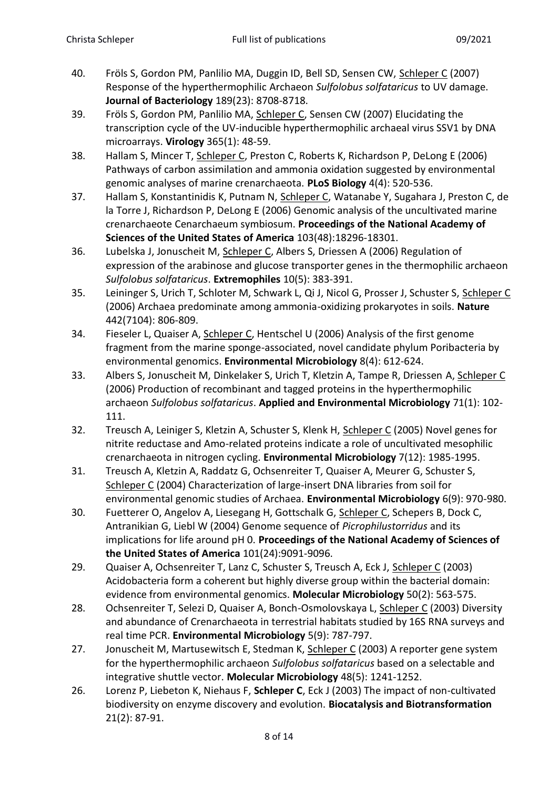- 40. Fröls S, Gordon PM, Panlilio MA, Duggin ID, Bell SD, Sensen CW, Schleper C (2007) Response of the hyperthermophilic Archaeon *Sulfolobus solfataricus* to UV damage. **Journal of Bacteriology** 189(23): 8708-8718.
- 39. Fröls S, Gordon PM, Panlilio MA, Schleper C, Sensen CW (2007) Elucidating the transcription cycle of the UV-inducible hyperthermophilic archaeal virus SSV1 by DNA microarrays. **Virology** 365(1): 48-59.
- 38. Hallam S, Mincer T, Schleper C, Preston C, Roberts K, Richardson P, DeLong E (2006) Pathways of carbon assimilation and ammonia oxidation suggested by environmental genomic analyses of marine crenarchaeota. **PLoS Biology** 4(4): 520-536.
- 37. Hallam S, Konstantinidis K, Putnam N, Schleper C, Watanabe Y, Sugahara J, Preston C, de la Torre J, Richardson P, DeLong E (2006) Genomic analysis of the uncultivated marine crenarchaeote Cenarchaeum symbiosum. **Proceedings of the National Academy of Sciences of the United States of America** 103(48):18296-18301.
- 36. Lubelska J, Jonuscheit M, Schleper C, Albers S, Driessen A (2006) Regulation of expression of the arabinose and glucose transporter genes in the thermophilic archaeon *Sulfolobus solfataricus*. **Extremophiles** 10(5): 383-391.
- 35. Leininger S, Urich T, Schloter M, Schwark L, Qi J, Nicol G, Prosser J, Schuster S, Schleper C (2006) Archaea predominate among ammonia-oxidizing prokaryotes in soils. **Nature** 442(7104): 806-809.
- 34. Fieseler L, Quaiser A, Schleper C, Hentschel U (2006) Analysis of the first genome fragment from the marine sponge-associated, novel candidate phylum Poribacteria by environmental genomics. **Environmental Microbiology** 8(4): 612-624.
- 33. Albers S, Jonuscheit M, Dinkelaker S, Urich T, Kletzin A, Tampe R, Driessen A, Schleper C (2006) Production of recombinant and tagged proteins in the hyperthermophilic archaeon *Sulfolobus solfataricus*. **Applied and Environmental Microbiology** 71(1): 102- 111.
- 32. Treusch A, Leiniger S, Kletzin A, Schuster S, Klenk H, Schleper C (2005) Novel genes for nitrite reductase and Amo-related proteins indicate a role of uncultivated mesophilic crenarchaeota in nitrogen cycling. **Environmental Microbiology** 7(12): 1985-1995.
- 31. Treusch A, Kletzin A, Raddatz G, Ochsenreiter T, Quaiser A, Meurer G, Schuster S, Schleper C (2004) Characterization of large-insert DNA libraries from soil for environmental genomic studies of Archaea. **Environmental Microbiology** 6(9): 970-980.
- 30. Fuetterer O, Angelov A, Liesegang H, Gottschalk G, Schleper C, Schepers B, Dock C, Antranikian G, Liebl W (2004) Genome sequence of *Picrophilustorridus* and its implications for life around pH 0. **Proceedings of the National Academy of Sciences of the United States of America** 101(24):9091-9096.
- 29. Quaiser A, Ochsenreiter T, Lanz C, Schuster S, Treusch A, Eck J, Schleper C (2003) Acidobacteria form a coherent but highly diverse group within the bacterial domain: evidence from environmental genomics. **Molecular Microbiology** 50(2): 563-575.
- 28. Ochsenreiter T, Selezi D, Quaiser A, Bonch-Osmolovskaya L, Schleper C (2003) Diversity and abundance of Crenarchaeota in terrestrial habitats studied by 16S RNA surveys and real time PCR. **Environmental Microbiology** 5(9): 787-797.
- 27. Jonuscheit M, Martusewitsch E, Stedman K, Schleper C (2003) A reporter gene system for the hyperthermophilic archaeon *Sulfolobus solfataricus* based on a selectable and integrative shuttle vector. **Molecular Microbiology** 48(5): 1241-1252.
- 26. Lorenz P, Liebeton K, Niehaus F, **Schleper C**, Eck J (2003) The impact of non-cultivated biodiversity on enzyme discovery and evolution. **Biocatalysis and Biotransformation** 21(2): 87-91.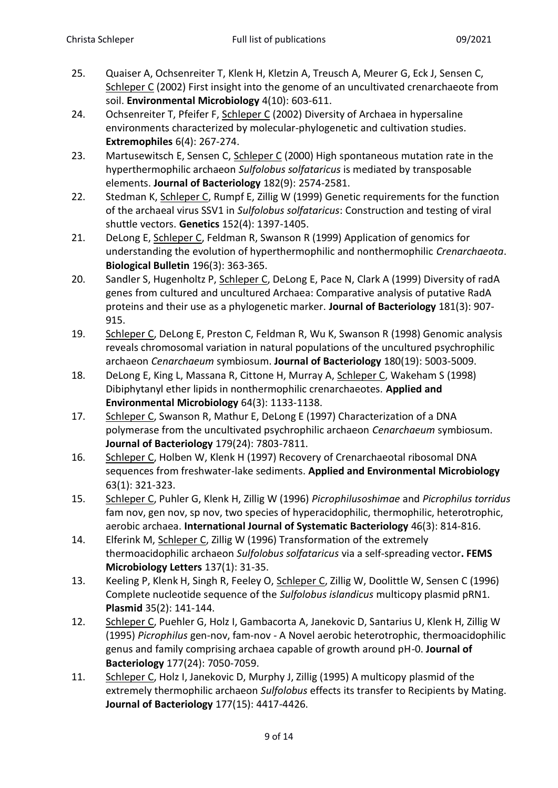- 25. Quaiser A, Ochsenreiter T, Klenk H, Kletzin A, Treusch A, Meurer G, Eck J, Sensen C, Schleper C (2002) First insight into the genome of an uncultivated crenarchaeote from soil. **Environmental Microbiology** 4(10): 603-611.
- 24. Ochsenreiter T, Pfeifer F, Schleper C (2002) Diversity of Archaea in hypersaline environments characterized by molecular-phylogenetic and cultivation studies. **Extremophiles** 6(4): 267-274.
- 23. Martusewitsch E, Sensen C, Schleper C (2000) High spontaneous mutation rate in the hyperthermophilic archaeon *Sulfolobus solfataricus* is mediated by transposable elements. **Journal of Bacteriology** 182(9): 2574-2581.
- 22. Stedman K, Schleper C, Rumpf E, Zillig W (1999) Genetic requirements for the function of the archaeal virus SSV1 in *Sulfolobus solfataricus*: Construction and testing of viral shuttle vectors. **Genetics** 152(4): 1397-1405.
- 21. DeLong E, Schleper C, Feldman R, Swanson R (1999) Application of genomics for understanding the evolution of hyperthermophilic and nonthermophilic *Crenarchaeota*. **Biological Bulletin** 196(3): 363-365.
- 20. Sandler S, Hugenholtz P, Schleper C, DeLong E, Pace N, Clark A (1999) Diversity of radA genes from cultured and uncultured Archaea: Comparative analysis of putative RadA proteins and their use as a phylogenetic marker. **Journal of Bacteriology** 181(3): 907- 915.
- 19. Schleper C, DeLong E, Preston C, Feldman R, Wu K, Swanson R (1998) Genomic analysis reveals chromosomal variation in natural populations of the uncultured psychrophilic archaeon *Cenarchaeum* symbiosum. **Journal of Bacteriology** 180(19): 5003-5009.
- 18. DeLong E, King L, Massana R, Cittone H, Murray A, Schleper C, Wakeham S (1998) Dibiphytanyl ether lipids in nonthermophilic crenarchaeotes. **Applied and Environmental Microbiology** 64(3): 1133-1138.
- 17. Schleper C, Swanson R, Mathur E, DeLong E (1997) Characterization of a DNA polymerase from the uncultivated psychrophilic archaeon *Cenarchaeum* symbiosum. **Journal of Bacteriology** 179(24): 7803-7811.
- 16. Schleper C, Holben W, Klenk H (1997) Recovery of Crenarchaeotal ribosomal DNA sequences from freshwater-lake sediments. **Applied and Environmental Microbiology** 63(1): 321-323.
- 15. Schleper C, Puhler G, Klenk H, Zillig W (1996) *Picrophilusoshimae* and *Picrophilus torridus*  fam nov, gen nov, sp nov, two species of hyperacidophilic, thermophilic, heterotrophic, aerobic archaea. **International Journal of Systematic Bacteriology** 46(3): 814-816.
- 14. Elferink M, Schleper C, Zillig W (1996) Transformation of the extremely thermoacidophilic archaeon *Sulfolobus solfataricus* via a self-spreading vector**. FEMS Microbiology Letters** 137(1): 31-35.
- 13. Keeling P, Klenk H, Singh R, Feeley O, Schleper C, Zillig W, Doolittle W, Sensen C (1996) Complete nucleotide sequence of the *Sulfolobus islandicus* multicopy plasmid pRN1. **Plasmid** 35(2): 141-144.
- 12. Schleper C, Puehler G, Holz I, Gambacorta A, Janekovic D, Santarius U, Klenk H, Zillig W (1995) *Picrophilus* gen-nov, fam-nov - A Novel aerobic heterotrophic, thermoacidophilic genus and family comprising archaea capable of growth around pH-0. **Journal of Bacteriology** 177(24): 7050-7059.
- 11. Schleper C, Holz I, Janekovic D, Murphy J, Zillig (1995) A multicopy plasmid of the extremely thermophilic archaeon *Sulfolobus* effects its transfer to Recipients by Mating. **Journal of Bacteriology** 177(15): 4417-4426.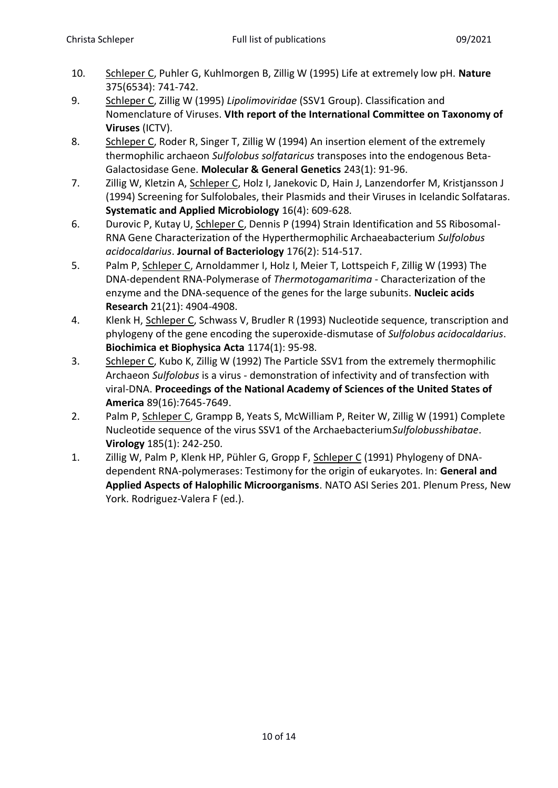- 10. Schleper C, Puhler G, Kuhlmorgen B, Zillig W (1995) Life at extremely low pH. **Nature** 375(6534): 741-742.
- 9. Schleper C, Zillig W (1995) *Lipolimoviridae* (SSV1 Group). Classification and Nomenclature of Viruses. **VIth report of the International Committee on Taxonomy of Viruses** (ICTV).
- 8. Schleper C, Roder R, Singer T, Zillig W (1994) An insertion element of the extremely thermophilic archaeon *Sulfolobus solfataricus* transposes into the endogenous Beta-Galactosidase Gene. **Molecular & General Genetics** 243(1): 91-96.
- 7. Zillig W, Kletzin A, Schleper C, Holz I, Janekovic D, Hain J, Lanzendorfer M, Kristjansson J (1994) Screening for Sulfolobales, their Plasmids and their Viruses in Icelandic Solfataras. **Systematic and Applied Microbiology** 16(4): 609-628.
- 6. Durovic P, Kutay U, Schleper C, Dennis P (1994) Strain Identification and 5S Ribosomal-RNA Gene Characterization of the Hyperthermophilic Archaeabacterium *Sulfolobus acidocaldarius*. **Journal of Bacteriology** 176(2): 514-517.
- 5. Palm P, Schleper C, Arnoldammer I, Holz I, Meier T, Lottspeich F, Zillig W (1993) The DNA-dependent RNA-Polymerase of *Thermotogamaritima* - Characterization of the enzyme and the DNA-sequence of the genes for the large subunits. **Nucleic acids Research** 21(21): 4904-4908.
- 4. Klenk H, Schleper C, Schwass V, Brudler R (1993) Nucleotide sequence, transcription and phylogeny of the gene encoding the superoxide-dismutase of *Sulfolobus acidocaldarius*. **Biochimica et Biophysica Acta** 1174(1): 95-98.
- 3. Schleper C, Kubo K, Zillig W (1992) The Particle SSV1 from the extremely thermophilic Archaeon *Sulfolobus* is a virus - demonstration of infectivity and of transfection with viral-DNA. **Proceedings of the National Academy of Sciences of the United States of America** 89(16):7645-7649.
- 2. Palm P, Schleper C, Grampp B, Yeats S, McWilliam P, Reiter W, Zillig W (1991) Complete Nucleotide sequence of the virus SSV1 of the Archaebacterium*Sulfolobusshibatae*. **Virology** 185(1): 242-250.
- 1. Zillig W, Palm P, Klenk HP, Pühler G, Gropp F, Schleper C (1991) Phylogeny of DNAdependent RNA-polymerases: Testimony for the origin of eukaryotes. In: **General and Applied Aspects of Halophilic Microorganisms**. NATO ASI Series 201. Plenum Press, New York. Rodriguez-Valera F (ed.).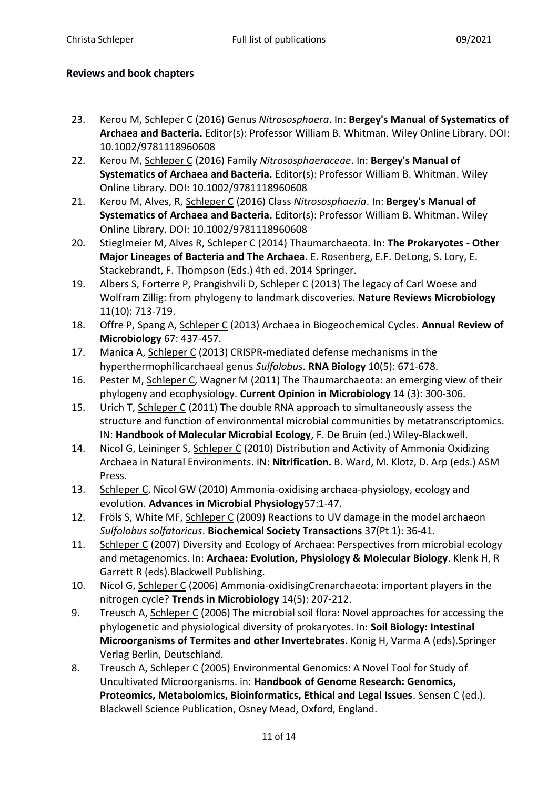## **Reviews and book chapters**

- 23. Kerou M, Schleper C (2016) Genus *Nitrososphaera*. In: **Bergey's Manual of Systematics of Archaea and Bacteria.** Editor(s): Professor William B. Whitman. Wiley Online Library. DOI: 10.1002/9781118960608
- 22. Kerou M, Schleper C (2016) Family *Nitrososphaeraceae*. In: **Bergey's Manual of Systematics of Archaea and Bacteria.** Editor(s): Professor William B. Whitman. Wiley Online Library. DOI: 10.1002/9781118960608
- 21. Kerou M, Alves, R, Schleper C (2016) Class *Nitrososphaeria*. In: **Bergey's Manual of Systematics of Archaea and Bacteria.** Editor(s): Professor William B. Whitman. Wiley Online Library. DOI: 10.1002/9781118960608
- 20. Stieglmeier M, Alves R, Schleper C (2014) Thaumarchaeota. In: **The Prokaryotes - Other Major Lineages of Bacteria and The Archaea**. E. Rosenberg, E.F. DeLong, S. Lory, E. Stackebrandt, F. Thompson (Eds.) 4th ed. 2014 Springer.
- 19. Albers S, Forterre P, Prangishvili D, Schleper C (2013) The legacy of Carl Woese and Wolfram Zillig: from phylogeny to landmark discoveries. **Nature Reviews Microbiology**  11(10): 713-719.
- 18. Offre P, Spang A, Schleper C (2013) Archaea in Biogeochemical Cycles. **Annual Review of Microbiology** 67: 437-457.
- 17. Manica A, Schleper C (2013) CRISPR-mediated defense mechanisms in the hyperthermophilicarchaeal genus *Sulfolobus*. **RNA Biology** 10(5): 671-678.
- 16. Pester M, Schleper C, Wagner M (2011) The Thaumarchaeota: an emerging view of their phylogeny and ecophysiology. **Current Opinion in Microbiology** 14 (3): 300-306.
- 15. Urich T, Schleper C (2011) The double RNA approach to simultaneously assess the structure and function of environmental microbial communities by metatranscriptomics. IN: **Handbook of Molecular Microbial Ecology**, F. De Bruin (ed.) Wiley-Blackwell.
- 14. Nicol G, Leininger S, Schleper C (2010) Distribution and Activity of Ammonia Oxidizing Archaea in Natural Environments. IN: **Nitrification.** B. Ward, M. Klotz, D. Arp (eds.) ASM Press.
- 13. Schleper C, Nicol GW (2010) Ammonia-oxidising archaea-physiology, ecology and evolution. **Advances in Microbial Physiology**57:1-47.
- 12. Fröls S, White MF, Schleper C (2009) Reactions to UV damage in the model archaeon *Sulfolobus solfataricus*. **Biochemical Society Transactions** 37(Pt 1): 36-41.
- 11. Schleper C (2007) Diversity and Ecology of Archaea: Perspectives from microbial ecology and metagenomics. In: **Archaea: Evolution, Physiology & Molecular Biology**. Klenk H, R Garrett R (eds).Blackwell Publishing.
- 10. Nicol G, Schleper C (2006) Ammonia-oxidisingCrenarchaeota: important players in the nitrogen cycle? **Trends in Microbiology** 14(5): 207-212.
- 9. Treusch A, Schleper C (2006) The microbial soil flora: Novel approaches for accessing the phylogenetic and physiological diversity of prokaryotes. In: **Soil Biology: Intestinal Microorganisms of Termites and other Invertebrates**. Konig H, Varma A (eds).Springer Verlag Berlin, Deutschland.
- 8. Treusch A, Schleper C (2005) Environmental Genomics: A Novel Tool for Study of Uncultivated Microorganisms. in: **Handbook of Genome Research: Genomics, Proteomics, Metabolomics, Bioinformatics, Ethical and Legal Issues**. Sensen C (ed.). Blackwell Science Publication, Osney Mead, Oxford, England.